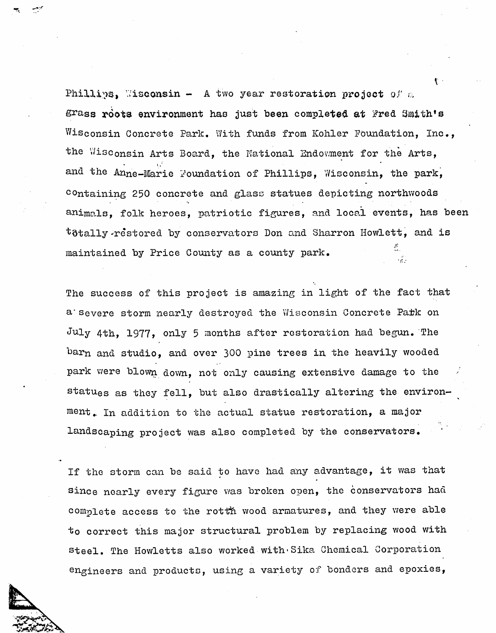Phillips, Wisconsin - A two year restoration project of a grass roots environment has just been completed at Fred Smith's Wisconsin Concrete Park. With funds from Kohler Foundation, Inc., the Wisconsin Arts Board, the National Endowment for the Arts, and the Anne-Marie Foundation of Phillips, Wisconsin, the park, containing 250 concrete and glass statues depicting northwoods animals, folk heroes, patriotic figures, and local events, has been  $t$ 3tally-restored by conservators Don and Sharron Howlett, and is J ! maintained by Price County as a county park.

The success of this project is amazing in light of the fact that a severe storm nearly destroyed the Wisconsin Concrete Park on July 4th, 1977, only 5 months after restoration had begun. The barn and studio, and over 300 pine trees in the heavily wooded park were blown down, not only causing extensive damage to the statues as they fell, but also drastically altering the environment. In addition to the actual statue restoration, a major landscaping project was also completed by the conservators.

If the storm can be said to have had any advantage, it was that since nearly every figure was broken open, the conservators had complete access to the rotth wood armatures, and they were able to correct this major structural problem by replacing wood with steel. The Howletts also worked with Sika Chemical Corporation engineers and products, using a variety of bonders and epoxies,



V